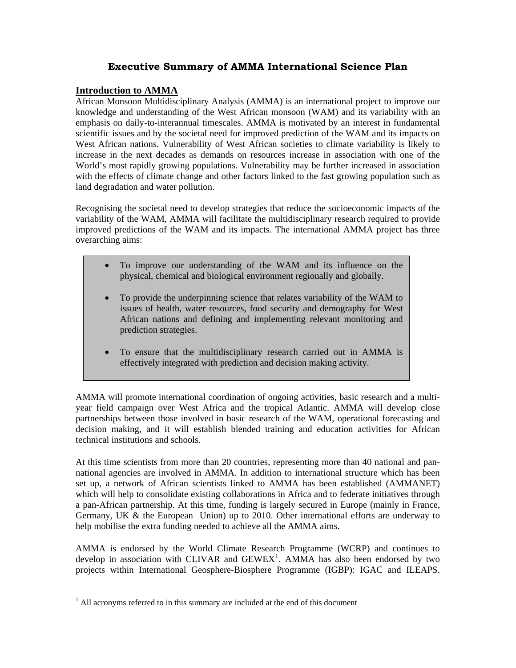# **Executive Summary of AMMA International Science Plan**

# **Introduction to AMMA**

African Monsoon Multidisciplinary Analysis (AMMA) is an international project to improve our knowledge and understanding of the West African monsoon (WAM) and its variability with an emphasis on daily-to-interannual timescales. AMMA is motivated by an interest in fundamental scientific issues and by the societal need for improved prediction of the WAM and its impacts on West African nations. Vulnerability of West African societies to climate variability is likely to increase in the next decades as demands on resources increase in association with one of the World's most rapidly growing populations. Vulnerability may be further increased in association with the effects of climate change and other factors linked to the fast growing population such as land degradation and water pollution.

Recognising the societal need to develop strategies that reduce the socioeconomic impacts of the variability of the WAM, AMMA will facilitate the multidisciplinary research required to provide improved predictions of the WAM and its impacts. The international AMMA project has three overarching aims:

- To improve our understanding of the WAM and its influence on the physical, chemical and biological environment regionally and globally.
- To provide the underpinning science that relates variability of the WAM to issues of health, water resources, food security and demography for West African nations and defining and implementing relevant monitoring and prediction strategies.
- To ensure that the multidisciplinary research carried out in AMMA is effectively integrated with prediction and decision making activity.

AMMA will promote international coordination of ongoing activities, basic research and a multiyear field campaign over West Africa and the tropical Atlantic. AMMA will develop close partnerships between those involved in basic research of the WAM, operational forecasting and decision making, and it will establish blended training and education activities for African technical institutions and schools.

At this time scientists from more than 20 countries, representing more than 40 national and pannational agencies are involved in AMMA. In addition to international structure which has been set up, a network of African scientists linked to AMMA has been established (AMMANET) which will help to consolidate existing collaborations in Africa and to federate initiatives through a pan-African partnership. At this time, funding is largely secured in Europe (mainly in France, Germany, UK & the European Union) up to 2010. Other international efforts are underway to help mobilise the extra funding needed to achieve all the AMMA aims.

AMMA is endorsed by the World Climate Research Programme (WCRP) and continues to develop in association with CLIVAR and  $GEWEX<sup>1</sup>$  $GEWEX<sup>1</sup>$  $GEWEX<sup>1</sup>$ . AMMA has also been endorsed by two projects within International Geosphere-Biosphere Programme (IGBP): IGAC and ILEAPS.

 $\overline{a}$ 

<span id="page-0-0"></span> $<sup>1</sup>$  All acronyms referred to in this summary are included at the end of this document</sup>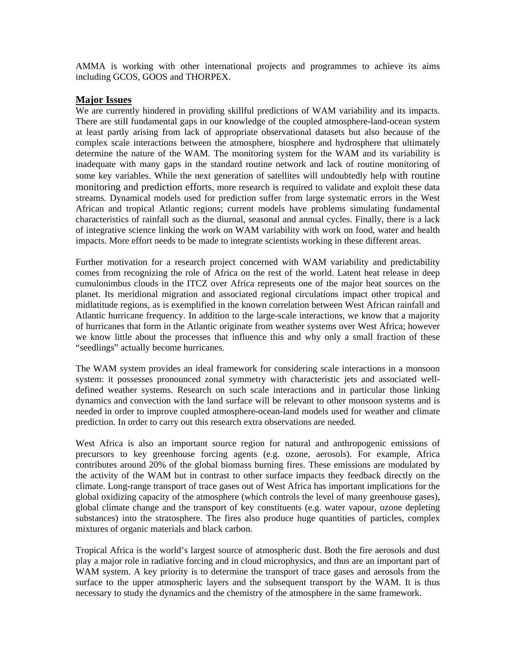AMMA is working with other international projects and programmes to achieve its aims including GCOS, GOOS and THORPEX.

# **Major Issues**

We are currently hindered in providing skillful predictions of WAM variability and its impacts. There are still fundamental gaps in our knowledge of the coupled atmosphere-land-ocean system at least partly arising from lack of appropriate observational datasets but also because of the complex scale interactions between the atmosphere, biosphere and hydrosphere that ultimately determine the nature of the WAM. The monitoring system for the WAM and its variability is inadequate with many gaps in the standard routine network and lack of routine monitoring of some key variables. While the next generation of satellites will undoubtedly help with routine monitoring and prediction efforts, more research is required to validate and exploit these data streams. Dynamical models used for prediction suffer from large systematic errors in the West African and tropical Atlantic regions; current models have problems simulating fundamental characteristics of rainfall such as the diurnal, seasonal and annual cycles. Finally, there is a lack of integrative science linking the work on WAM variability with work on food, water and health impacts. More effort needs to be made to integrate scientists working in these different areas.

Further motivation for a research project concerned with WAM variability and predictability comes from recognizing the role of Africa on the rest of the world. Latent heat release in deep cumulonimbus clouds in the ITCZ over Africa represents one of the major heat sources on the planet. Its meridional migration and associated regional circulations impact other tropical and midlatitude regions, as is exemplified in the known correlation between West African rainfall and Atlantic hurricane frequency. In addition to the large-scale interactions, we know that a majority of hurricanes that form in the Atlantic originate from weather systems over West Africa; however we know little about the processes that influence this and why only a small fraction of these "seedlings" actually become hurricanes.

The WAM system provides an ideal framework for considering scale interactions in a monsoon system: it possesses pronounced zonal symmetry with characteristic jets and associated welldefined weather systems. Research on such scale interactions and in particular those linking dynamics and convection with the land surface will be relevant to other monsoon systems and is needed in order to improve coupled atmosphere-ocean-land models used for weather and climate prediction. In order to carry out this research extra observations are needed.

West Africa is also an important source region for natural and anthropogenic emissions of precursors to key greenhouse forcing agents (e.g. ozone, aerosols). For example, Africa contributes around 20% of the global biomass burning fires. These emissions are modulated by the activity of the WAM but in contrast to other surface impacts they feedback directly on the climate. Long-range transport of trace gases out of West Africa has important implications for the global oxidizing capacity of the atmosphere (which controls the level of many greenhouse gases), global climate change and the transport of key constituents (e.g. water vapour, ozone depleting substances) into the stratosphere. The fires also produce huge quantities of particles, complex mixtures of organic materials and black carbon.

Tropical Africa is the world's largest source of atmospheric dust. Both the fire aerosols and dust play a major role in radiative forcing and in cloud microphysics, and thus are an important part of WAM system. A key priority is to determine the transport of trace gases and aerosols from the surface to the upper atmospheric layers and the subsequent transport by the WAM. It is thus necessary to study the dynamics and the chemistry of the atmosphere in the same framework.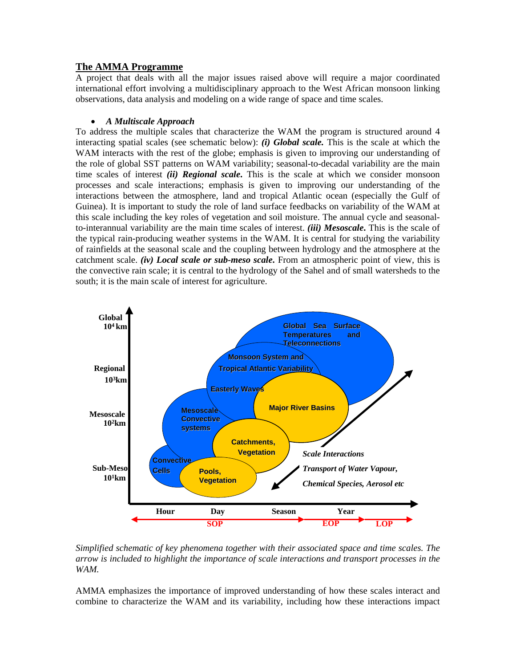# **The AMMA Programme**

A project that deals with all the major issues raised above will require a major coordinated international effort involving a multidisciplinary approach to the West African monsoon linking observations, data analysis and modeling on a wide range of space and time scales.

# • *A Multiscale Approach*

To address the multiple scales that characterize the WAM the program is structured around 4 interacting spatial scales (see schematic below): *(i) Global scale.* This is the scale at which the WAM interacts with the rest of the globe; emphasis is given to improving our understanding of the role of global SST patterns on WAM variability; seasonal-to-decadal variability are the main time scales of interest *(ii) Regional scale***.** This is the scale at which we consider monsoon processes and scale interactions; emphasis is given to improving our understanding of the interactions between the atmosphere, land and tropical Atlantic ocean (especially the Gulf of Guinea). It is important to study the role of land surface feedbacks on variability of the WAM at this scale including the key roles of vegetation and soil moisture. The annual cycle and seasonalto-interannual variability are the main time scales of interest. *(iii) Mesoscale***.** This is the scale of the typical rain-producing weather systems in the WAM. It is central for studying the variability of rainfields at the seasonal scale and the coupling between hydrology and the atmosphere at the catchment scale. *(iv) Local scale or sub-meso scale***.** From an atmospheric point of view, this is the convective rain scale; it is central to the hydrology of the Sahel and of small watersheds to the south; it is the main scale of interest for agriculture.



*Simplified schematic of key phenomena together with their associated space and time scales. The arrow is included to highlight the importance of scale interactions and transport processes in the WAM.* 

AMMA emphasizes the importance of improved understanding of how these scales interact and combine to characterize the WAM and its variability, including how these interactions impact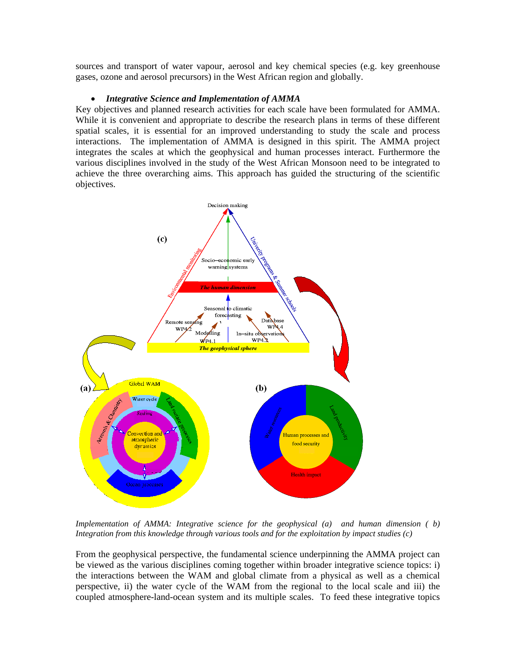sources and transport of water vapour, aerosol and key chemical species (e.g. key greenhouse gases, ozone and aerosol precursors) in the West African region and globally.

#### • *Integrative Science and Implementation of AMMA*

Key objectives and planned research activities for each scale have been formulated for AMMA. While it is convenient and appropriate to describe the research plans in terms of these different spatial scales, it is essential for an improved understanding to study the scale and process interactions. The implementation of AMMA is designed in this spirit. The AMMA project integrates the scales at which the geophysical and human processes interact. Furthermore the various disciplines involved in the study of the West African Monsoon need to be integrated to achieve the three overarching aims. This approach has guided the structuring of the scientific objectives.



*Implementation of AMMA: Integrative science for the geophysical (a) and human dimension (b) Integration from this knowledge through various tools and for the exploitation by impact studies (c)*

From the geophysical perspective, the fundamental science underpinning the AMMA project can be viewed as the various disciplines coming together within broader integrative science topics: i) the interactions between the WAM and global climate from a physical as well as a chemical perspective, ii) the water cycle of the WAM from the regional to the local scale and iii) the coupled atmosphere-land-ocean system and its multiple scales. To feed these integrative topics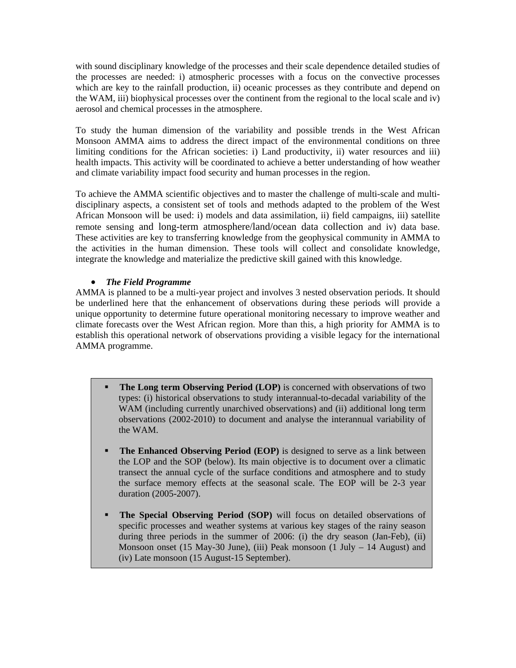with sound disciplinary knowledge of the processes and their scale dependence detailed studies of the processes are needed: i) atmospheric processes with a focus on the convective processes which are key to the rainfall production, ii) oceanic processes as they contribute and depend on the WAM, iii) biophysical processes over the continent from the regional to the local scale and iv) aerosol and chemical processes in the atmosphere.

To study the human dimension of the variability and possible trends in the West African Monsoon AMMA aims to address the direct impact of the environmental conditions on three limiting conditions for the African societies: i) Land productivity, ii) water resources and iii) health impacts. This activity will be coordinated to achieve a better understanding of how weather and climate variability impact food security and human processes in the region.

To achieve the AMMA scientific objectives and to master the challenge of multi-scale and multidisciplinary aspects, a consistent set of tools and methods adapted to the problem of the West African Monsoon will be used: i) models and data assimilation, ii) field campaigns, iii) satellite remote sensing and long-term atmosphere/land/ocean data collection and iv) data base. These activities are key to transferring knowledge from the geophysical community in AMMA to the activities in the human dimension. These tools will collect and consolidate knowledge, integrate the knowledge and materialize the predictive skill gained with this knowledge.

# • *The Field Programme*

AMMA is planned to be a multi-year project and involves 3 nested observation periods. It should be underlined here that the enhancement of observations during these periods will provide a unique opportunity to determine future operational monitoring necessary to improve weather and climate forecasts over the West African region. More than this, a high priority for AMMA is to establish this operational network of observations providing a visible legacy for the international AMMA programme.

- **The Long term Observing Period (LOP)** is concerned with observations of two types: (i) historical observations to study interannual-to-decadal variability of the WAM (including currently unarchived observations) and (ii) additional long term observations (2002-2010) to document and analyse the interannual variability of the WAM.
- **The Enhanced Observing Period (EOP)** is designed to serve as a link between the LOP and the SOP (below). Its main objective is to document over a climatic transect the annual cycle of the surface conditions and atmosphere and to study the surface memory effects at the seasonal scale. The EOP will be 2-3 year duration (2005-2007).
- **The Special Observing Period (SOP)** will focus on detailed observations of specific processes and weather systems at various key stages of the rainy season during three periods in the summer of 2006: (i) the dry season (Jan-Feb), (ii) Monsoon onset (15 May-30 June), (iii) Peak monsoon (1 July  $-$  14 August) and (iv) Late monsoon (15 August-15 September).